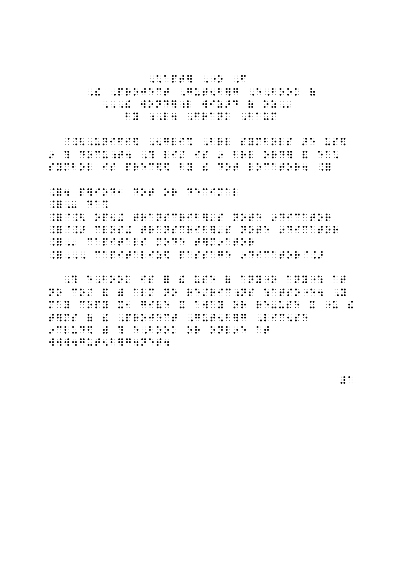in de la componencia de la componición de la componencia de la componencia de concerta de la componencia de la<br>1960 - La componencia de la componencia de la componencia de la componencia de la componencia de la componenc<br>1 

i de de de 1950 de 1959 de 1959 de de 1969 de 1969 de 1969 de 1969 de 1969 de 1969 de 1969 de 1969 de 1969 de<br>1969 de 1965 de 1969 de 1965 de 1969 de 1969 de 1969 de 1969 de 1969 de 1969 de 1969 de 1969 de 1969 de 1969<br>196 

 $\frac{1}{2}$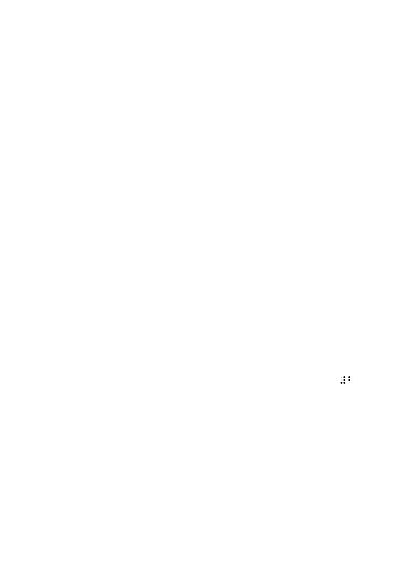$\mathbb{R}$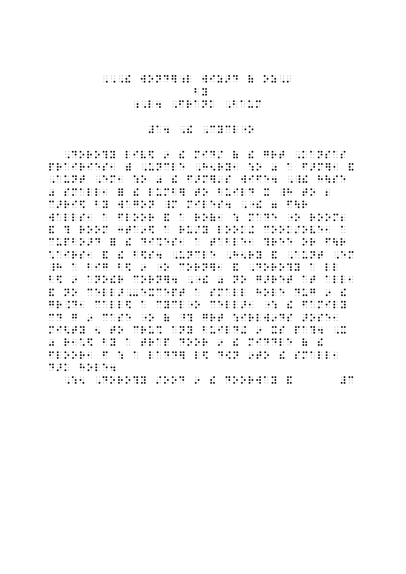## $\ddot{\cdot}$

## 

in i saman di di sama sama sama sa di di di di dan di saman saman saman ng di dan saman saman saman sa saman<br>Saman di saman di di saman sa saman di di di saman di saman di di saman di saman saman saman saman di saman di<br>S ian i dan i de de de dan i ee en de ee de indige de ee en de de de de ee en dan de de de de de de de een indig<br>1966 – Een indige de een indigenoemde de eerste indigenoemde indigenoemde in de eerste en de de en en de indig  $\frac{1}{2}$ de la provincia de la casa de la casa de la casa de la casa de la casa de la casa de la casa de la casa de la<br>La casa de la casa de la casa de la casa de la casa de la casa de la casa de la casa de la casa de la casa de 

 $\frac{1}{2}$   $\frac{1}{2}$   $\frac{1}{2}$   $\frac{1}{2}$   $\frac{1}{2}$   $\frac{1}{2}$   $\frac{1}{2}$   $\frac{1}{2}$   $\frac{1}{2}$   $\frac{1}{2}$   $\frac{1}{2}$   $\frac{1}{2}$   $\frac{1}{2}$   $\frac{1}{2}$   $\frac{1}{2}$   $\frac{1}{2}$   $\frac{1}{2}$   $\frac{1}{2}$   $\frac{1}{2}$   $\frac{1}{2}$   $\frac{1}{2}$   $\frac{1}{2}$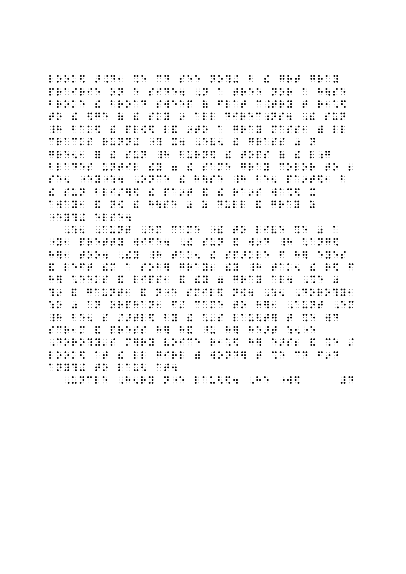indian i dinambia da india da dinambia dinambia ini na dinambia da dinambia da dinambina ny nina ilay any ami<br>India ao amin'ny faritr'i Gregory dia 1988 no ambany amin'ny fivondronan-paositra 2014. Ilay kaominina dia kao<br>I .<br>1989: De La De La De La De La De La De La De La De La De La De La De La De La De La De La De La De La De La<br>1991: De La De La De La De La De La De La De La De La De La De La De La De La De La De La De La De La De La .<br>1961 – An Alexandrich III de Leise de Louis (1961) (1961) (1962) (1969) (1969) (1969) (1969) (1969) (1969) (1<br>1962 – An Alexandrich III de Louis (1969) (1969) (1969) (1969) (1969) (1969) (1969) (1969) (1969) (1969) (196 

in de la companiente de la competitiva de la característica de la característica de la característica de la ca<br>La característica de la característica de la característica de la característica de la característica de la c<br>L  $\frac{1}{2}$  ,  $\frac{1}{2}$  ,  $\frac{1}{2}$  ,  $\frac{1}{2}$  ,  $\frac{1}{2}$  ,  $\frac{1}{2}$  ,  $\frac{1}{2}$  ,  $\frac{1}{2}$  ,  $\frac{1}{2}$ , and the second companion of the second companion of the second companion of the second companion of the second companion of the second companion of the second companion of the second companion of the second companion of ian de la provincia de la directa de la califactiva de la califactiva de la califactiva de la califactiva de<br>1989 de la califactiva de la directa de la califactiva de la califactiva de la califactiva de la califactiva<br>1999 indiano di primerino indicio na nacional dan dal cine di primerina con di primerina dal cine di dal primeri na<br>1980 – Anni di di di cine nella primerina con di di cine nella di primerina di primerina di primerina di diant<br> 

 $\frac{1}{2}$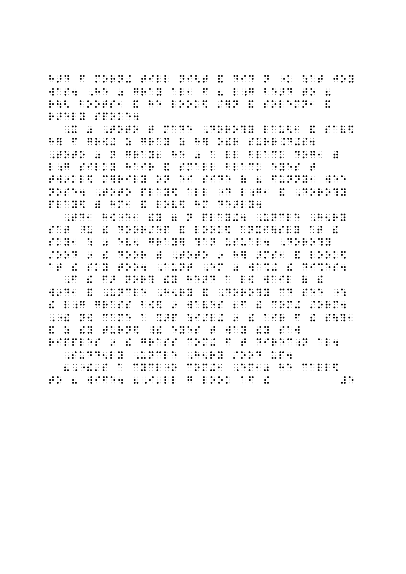indidente en la serdina de la cada de de la de en la cada de la cada de la de de de de de la cada de la cada d<br>La de ser de la cada de la cada de ser de la cada de la cada de la cada de la cada de la de de la cada de la<br>La ia de alternaciones de la computer de la computer al al al de la calada de la computer de al de al computer de<br>1999 de la computer de la computer de la computer de la computer de la computer de la computer de la computer<br>1 

 $\begin{array}{ccc}\n\vdots & \bullet & \bullet \\
\vdots & \vdots & \vdots \\
\bullet & \bullet & \bullet\n\end{array}$ . 1992 - 1993 - 1994 - 1994 - 1994 - 1995 - 1996 - 1996 - 1996 - 1996 - 1996 - 1996 - 1996 - 1996 - 1996 - 199<br>- 1996 - 1996 - 1997 - 1998 - 1999 - 1999 - 1999 - 1999 - 1999 - 1999 - 1999 - 1999 - 1999 - 1999 - 1999 - 19<br>-

**REAL BRIDGE**  $\ddot{\cdot}$  $\mathbf{E}$  $\ddot{u}$   $\ddot{u}$ ina i animnia ao amin' de sa campia ao amin' ao amin' ao amin' ao amin' ao amin' ao amin' ao amin' ao amin' ao<br>Ny INSEE dia mampiasa ny kaodim-paositra 2008–2014. Ilay kaominina dia kaominina mpikambana amin' ny kaodim-pa<br> i de edicación de les certas de edicións de les cedicións en la construcción de la construcción de la construc<br>Les proves de la certa de la certa de la certa de la certa de la certa de la certa de la certa de la certa de<br>L  $\ddot{\ddot{\Sigma}}$ ica an anche anche il diali de de de dalla diali de da de adica il color de casas il il da da il de da da de<br>1941 - Le da anche il color constanti da le proposita da da constituzione da sulla il de la constituzione da<br>1961  $\frac{1}{2}$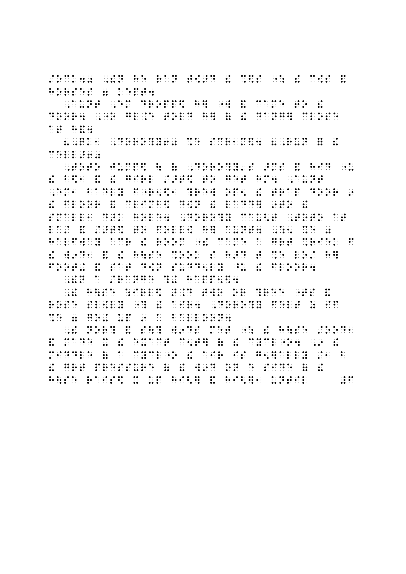/OCK40 ,!N HE RAN T[>D ! %\$S ": ! C[S & HORSES 7 KEPT4 1988 1 KEPT4 1 KEPT4 1 KEPT4 1 KEPT4 1 KEPT4 1 KEPT4 1 KEPT4 1 KEPT4 1<br>1 KEPT4 1 KEPT4 1 KEPT4 1 KEPT4 1 KEPT4 1 KEPT4 1 KEPT4 1 KEPT4 1 KEPT4 1 KEPT4 1 KEPT4 1 KEPT4 1 KEPT4 1 KEP<br>1 KEPT4 1 KEPT4 1 KEPT4 1

, AUNT , AUNT , AUNT , AUNT , AUNT , AUNT , AUNT , AUNT , AUNT , AUNT , AUNT , AUNT , AUNT , AUNT , AUGUST , A<br>AUNT , AUNT , AUNT , AUNT , AUNT , AUGUST , AUGUST , AUGUST , AUGUST , AUGUST , AUGUST , AUGUST , AUGUST , AUG DOOR4 , O GL.E TOLD HIS SERVICE OF TOLD HIS SERVICE OF TOLD HIS SERVICE OF TOLD HIS SERVICE OF TOLD HIS SERVIC<br>2009 , O GL.E TOLD HIS SERVICE OF TOLD HIS SERVICE OF TOLD HIS SERVICE OF TOLD HIS SERVICE OF TOLD HIS SERVIC<br>2 AT H&4

8, SA DISPONSA A LA SERIE DA DISPONSA DE DE LA SURDIA A LA SERIE DA LA SA DISPONSA DA DISPONSA DE LA SA LA SA<br>Disponsa da disponsa a la serie de serie de la sala de la serie de la serie de la serie de la serie de la ser<br>Di CELLO CELLO CO

, TO THE ROOM OF THE RELEASE RECORDS OF THE THE RELEASE RESIDENCE TO THE RELEASE THE THE RELEASE THE RELEASE T<br>TO BE THERE TO DESCRIPT THE RELEASE RELEASE THE THE RELEASE THE THE THE THE THE RELEASE THE RELEASE THE THE TO<br> ! B\$1 & ! GIRL />T\$ TO GET HM4 ,AUNT , THE RESIDENT CONFIDENTIAL CONFIDENTIAL CONFIDENTIAL CONFIDENTIAL CONFIDENTIAL CONFIDENTIAL CONFIDENTIAL CONF<br>The Revolution of the Revolution of the Revolution of the Revolution of the Revolution of the Person of the Re<br> . THE RESOLUTION OF THE RESOLUTION OF THE RESOLUTION OF THE RESOLUTION OF THE RESOLUTION OF THE RESOLUTION OF<br>The Resolution of the Resolution of the Resolution of the Resolution of the Resolution of the Resolution of th<br>T SMALL1 D>K HOLE4 ,DORO?Y CAU<T ,TOTO AT LA/ BE TO FOLLOW A RESIDENCE TO BE TO BE A RESIDENCE OF A SERVICE OF A SERVICE OF A SERVICE OF A SERVICE OF A<br>The following the service of the service of the service of the service of the service of the service of the se<br>T HALFWAY ACR (1986) AND ACRES (1986) AND AN ARREST CHANNEL ACRES (1986) AND ACRES (1986) AND ALFABA ALF CAME A<br>HALFWAY ACRES (1986) AND ALF WAY AND A GREEK FOR THE SAN ARREST CHANNEL AND ACRES (1986) AND ACRES (1986) AND<br>HA ! W9D1 & 1980 & 2000 & 2000 & 1980 & 2000 & 2000 \$ 2000 \$ 2000 \$ 2000 \$ 2000 \$ 2000 \$ 2000 \$ 2000 \$ 2000 \$ 200<br>2011 \$ 2000 \$ 2000 \$ 2000 \$ 2000 \$ 2000 \$ 2000 \$ 2000 \$ 2000 \$ 2000 \$ 2000 \$ 2000 \$ 2000 \$ 2000 \$ 2000 \$ 2000<br>2 FOOTH & SAT DE LA SAT DIE 1989 VAN DIE 1989 VAN DIE 1989 VAN DIE 1989 VAN DIE 1989 GESCHIEDIGE DEUR VAN DIE 19<br>Footballige bestel van die 1989 van die 1989 van die 1989 van die 1989 van die 1989 van die 1989 van die 1989<br>F ,!N A /RANGE ?+ HAPP5\$4

, HULLEY , RELATION , RELATION , RELATION , RELATION , RELATION , RELATION , RELATION , RELATION , RELATION ,<br>2006 , RELATION , RELATION , RELATION , RELATION , RELATION , RELATION , RELATION , RELATION , RELATION , REL<br>20 ROSE SUR AN ESTADO DE ENTRE AN ENTRE 1999, EN 1999, EN 1999, EN 1999, EN 1999, EN 1999, EN 1999, EN 1999, EN 1<br>ROSE SUR AN EN 1999, EN 1999, EN 1999, EN 1999, EN 1999, EN 1999, EN 1999, EN 1999, EN 1999, EN 1999, EN 1999<br>R % E 7 GO+ UP 9 A BALLOON4 A BALLOON4 A BALLOON4 A BALLOON4 A BALLOON4 A BALLOON4 A BALLOON4 A BALLOON4 A BALLO<br>19 A BALLOON4 A BALLOON4 A BALLOON4 A BALLOON4 A BALLOON4 A BALLOON4 A BALLOON4 A BALLOON4 A BALLOON4 A BALLOO<br> ,! NOR? & S\? W9DS MET ": ! H\SE /OOD1 & MADE X ! EXACT C5T] ( ! CYCL"O4 ,9 ! MID LE BE BE BLISH AN THE THE REPORTED BY LIBY AND A CHILIBE AND A CHILIBE BE LIBY OF THE LIBY IN THE REPORT O<br>All Burger and the Theodor and The Liby Liby and Liby and Liby and The Liby and All Burger and The Burger and<br>A : LO 1981 DE 1981 DE LO 1981 DE DE LO 1981 DE LO 1992 DE LO 1993 DE LO 1993 DE LO 1994 DE LO 1994 DE LO 1994 D<br>1994 : DO 00 DE LO 1994 DE LO 1994 DE LO 1994 DE LO 1994 DE LO 1994 DE LO 1994 DE LO 1999 DE LO 1994 DE LO 19<br>1  $\frac{1}{2}$  , and the set of the set of the set of the set of the set of the set of the set of the set of the set of the set of the set of the set of the set of the set of the set of the set of the set of the set of the set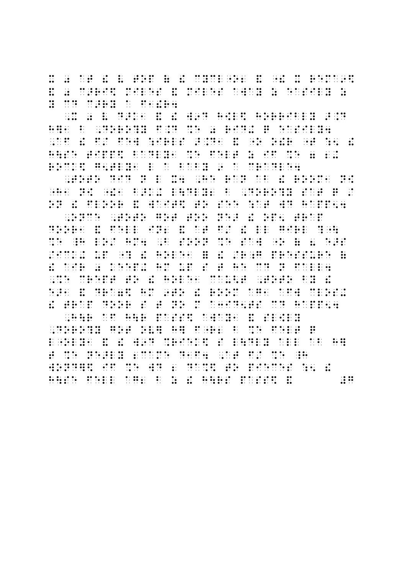X OR 1999 - DA 1999 - DA 1999 - DA 1999 - DA 1999 - DA 1999 - DA 1999 - DA 1999 - DA 1999 - DA 1999 - DA 1999<br>2009 - DA 1999 - DA 1999 - DA 1999 - DA 1999 - DA 1999 - DA 1999 - DA 1999 - DA 1999 - DA 1999 - DA 1999 - DA<br>20 .<br>1951 – Carl Strange and the series of the series and the series are the series and the series of the series o<br>1961 – Carl Strange and the series are the series and the series are the series and the series are the series Y CO CO CONSTRUIRE CONTROLLER<br>The String String Company of the Construction<br>Company Company Company Company Company Company Company Company Company Company Company Company Company Compa

,X 0 V D>K1 & ! W9D H[L\$ HORRIBLY >.D HER DE LA 1999 DE LA 1999 DE LA 1999 DE LA 1999 DE LA 1999 DE LA 1999 DE LA 1999 DE LA 1999 DE LA 1999 DE LA 1<br>1999 DE LA 1999 DE LA 1999 DE LA 1999 DE LA 1999 DE LA 1999 DE LA 1999 DE LA 1999 DE LA 1999 DE DE LA 1999 DE<br>1 , AF DE 1988, A DE 1988, A DE 1998, A LA DE 1998, A LA DE 1998, A LA DE 1998, A LA DE 1998, A LA DE 1998, A LA<br>1999, A LA DE 1999, A LA PERIODE (A DE 1998), A LA PARTICIPIA DE 1999, A LA DE 1999, A LA DE 1999, A LA DE 19<br>1 H\SE TIPP\$ BADLY1 %E FELT Z IF %E 7 2+ ROCK\$ G5TLY1 L A BABY 9 AN AN AN AIR AN AIR AN AIR AN AIR AN AIR AN AIR AN AIR AN AIR AN AIR AN AIR AN AIR AN<br>An air an air an air an air an air an air an air an air an air an air an air an air an air an air an air an ai

, TOTO DID NORTH ABOVE AND THE RANGE OF THE RANGE OF THE RANGE OF THE RANGE OF THE RANGE OF THE RANGE OF THE RANGE OF THE RANGE OF THE RANGE OF THE RANGE OF THE RANGE OF THE RANGE OF THE RANGE OF THE RANGE OF THE RANGE OF "H1 N[ "!1 B>K+ L\DLY2 B ,DORO?Y SAT Q / ON ! FLOOR & WAIT\$ TO SEE :AT WD HAPP54 , LA CORRESPONDIA DE LA CORRESPONDIA DE LA CORRESPONDIA DE LA CORRESPONDIA DE LA CORRESPONDIA DE LA CORRESPOND<br>1995 TRAPA DE LA CORRESPONDIA DE LA CORRESPONDIA DE LA CORRESPONDIA DE LA CORRESPONDIA DE LA CORRESPONDIA DE<br>19 DOOR1 & FELL IN2 & AT F/ ! LL GIRL ?"\ %E \_H LO/ HM4 ,B SOON %E SAW "O ( 8 E>S /ICH AN ARTICLE AND AN INTERFERING THAT AN ARTICLE IN THE RESIDENT OF A STATE AND A STATE AND A STATE AND A ST<br>In an interfering the state of the state and state and the state of the state and state and state and state a<br>A . A CONSTRUCTION OF A REPORT OF A CONSTRUCTION OF A CONSTRUCTION OF A CONSTRUCTION OF A CONSTRUCTION OF A CONS<br>And construction of a construction of a construction of a construction of a construction of a construction of ,%E CREPT TO ! HOLE1 CAU<T ,TOTO BY ! EXAMPLE AND AGENCY AND CONSIDER THE RESIDENCE OF A SERVICE OF A SERVICE OF A SERVICE OF A SERVICE OF A SERVICE<br>1980 - Andrew Considered Afware and the service of a service of a service of a service of a service of a servi<br> .<br>1961 – DOOR DOOR STARP DOOR DE SAN DIE SANDISE SOOS DE SAN DIE SAN DIE SAN DIE SAN DIE SAN DIE SAN DIE SAN DIE<br>1962 – DOOR STARPS – STARP DOOR SAN DIE SAN DIE SAN DIE SAN DIE SAN DIE SAN DIE SAN DIE SAN DIE SAN DIE SAN D , H\R AF H\R AF HAS ARRESTED AND A SAN ARRAIGNMENT AND A SAN ARRAIGNMENT AND A SAN ARRAIGNMENT AND A SAN ARRAI<br>The AR ARRAIGN State and a san arraignment and a state and a state and a san arraignment and a san arraignment<br> ,DORO?Y GOT OV] H] F"R2 B %E FELT Q

L'ARC'HANDRE DE L'ARC'HANDRE DE L'ARC'HANDRE DE L'ARC'HANDRE DE L'ARC'HANDRE DE L'ARC'HANDRE DE L'ARC'HANDRE<br>L'ARC'HANDRE DE L'ARC'HANDRE DE L'ARC'HANDRE DE L'ARC'HANDRE DE L'ARC'HANDRE DE L'ARC'HANDRE DE L'ARC'HANDRE<br>L'AR T 40 B. A. 1980, A 40 B. TH 1980, A 40 B. AN 1990, A 40 F. AN 1990, A 40 F. AN 1990.<br>1990 - The Light Light Light Light Light Light Light Light Light Light Light Light Light Light Light.<br>1990 - The Light Light Light Light WOND AN ARRAIGNMENT WORK THE RESIDENT WARRAIGN AND A COMPANY ARRAIGNMENT WORK THE RESIDENT WARRAIGN AND THE RE<br>TO PIECE AN ARRAIGNMENT WORK THE RESIDENT WARRAIGN AND THE RESIDENT WARRAIGN AN ARRAIGNMENT WORK THE RESIDENT<br>T Holders are as a set of the set of the set of the set of the set of the set of the set of the set of the set o<br>The set of the set of the set of the set of the set of the set of the set of the set of the set of the set of